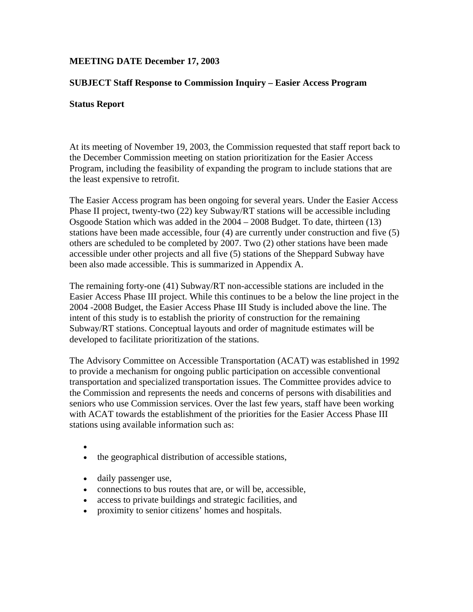# **MEETING DATE December 17, 2003**

## **SUBJECT Staff Response to Commission Inquiry – Easier Access Program**

#### **Status Report**

At its meeting of November 19, 2003, the Commission requested that staff report back to the December Commission meeting on station prioritization for the Easier Access Program, including the feasibility of expanding the program to include stations that are the least expensive to retrofit.

The Easier Access program has been ongoing for several years. Under the Easier Access Phase II project, twenty-two (22) key Subway/RT stations will be accessible including Osgoode Station which was added in the 2004 – 2008 Budget. To date, thirteen (13) stations have been made accessible, four (4) are currently under construction and five (5) others are scheduled to be completed by 2007. Two (2) other stations have been made accessible under other projects and all five (5) stations of the Sheppard Subway have been also made accessible. This is summarized in Appendix A.

The remaining forty-one (41) Subway/RT non-accessible stations are included in the Easier Access Phase III project. While this continues to be a below the line project in the 2004 -2008 Budget, the Easier Access Phase III Study is included above the line. The intent of this study is to establish the priority of construction for the remaining Subway/RT stations. Conceptual layouts and order of magnitude estimates will be developed to facilitate prioritization of the stations.

The Advisory Committee on Accessible Transportation (ACAT) was established in 1992 to provide a mechanism for ongoing public participation on accessible conventional transportation and specialized transportation issues. The Committee provides advice to the Commission and represents the needs and concerns of persons with disabilities and seniors who use Commission services. Over the last few years, staff have been working with ACAT towards the establishment of the priorities for the Easier Access Phase III stations using available information such as:

•

- the geographical distribution of accessible stations,
- daily passenger use,
- connections to bus routes that are, or will be, accessible,
- access to private buildings and strategic facilities, and
- proximity to senior citizens' homes and hospitals.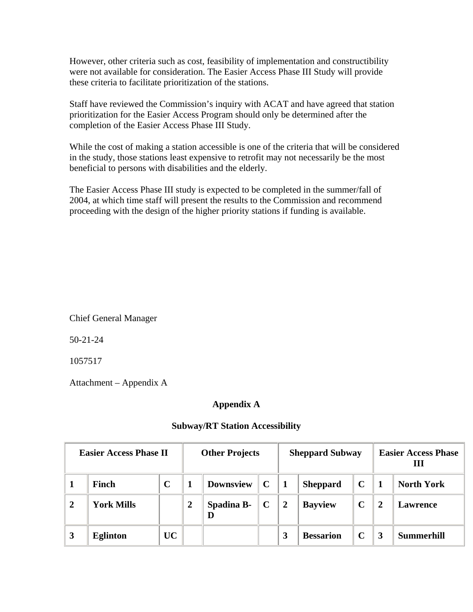However, other criteria such as cost, feasibility of implementation and constructibility were not available for consideration. The Easier Access Phase III Study will provide these criteria to facilitate prioritization of the stations.

Staff have reviewed the Commission's inquiry with ACAT and have agreed that station prioritization for the Easier Access Program should only be determined after the completion of the Easier Access Phase III Study.

While the cost of making a station accessible is one of the criteria that will be considered in the study, those stations least expensive to retrofit may not necessarily be the most beneficial to persons with disabilities and the elderly.

The Easier Access Phase III study is expected to be completed in the summer/fall of 2004, at which time staff will present the results to the Commission and recommend proceeding with the design of the higher priority stations if funding is available.

Chief General Manager

50-21-24

1057517

Attachment – Appendix A

## **Appendix A**

| <b>Easier Access Phase II</b> |                   | <b>Other Projects</b> |                  |                  | <b>Sheppard Subway</b> |                |                  | <b>Easier Access Phase</b><br>Ш |  |                   |
|-------------------------------|-------------------|-----------------------|------------------|------------------|------------------------|----------------|------------------|---------------------------------|--|-------------------|
|                               | Finch             | $\mathbf C$           |                  | <b>Downsview</b> | $\mathbf C$            |                | <b>Sheppard</b>  | $\mathbf C$                     |  | <b>North York</b> |
| 2                             | <b>York Mills</b> |                       | $\boldsymbol{2}$ | Spadina B-       |                        | $\overline{2}$ | <b>Bayview</b>   | $\mathbf C$                     |  | Lawrence          |
| 3                             | <b>Eglinton</b>   | UC                    |                  |                  |                        | 3              | <b>Bessarion</b> |                                 |  | <b>Summerhill</b> |

## **Subway/RT Station Accessibility**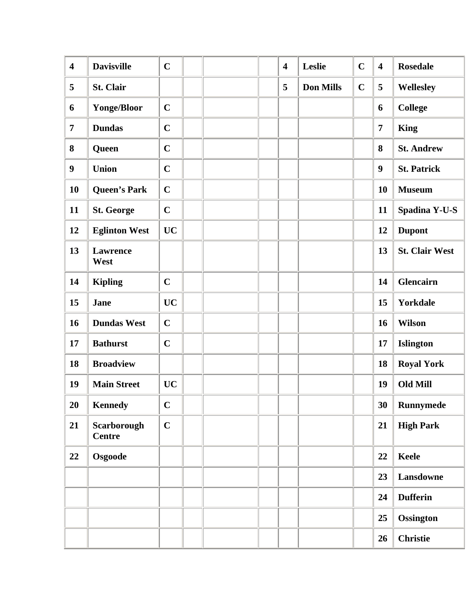| $\overline{\mathbf{4}}$ | <b>Davisville</b>            | $\mathbf C$ |  | $\overline{\mathbf{4}}$ | Leslie           | $\mathbf C$ | $\overline{\mathbf{4}}$ | <b>Rosedale</b>       |
|-------------------------|------------------------------|-------------|--|-------------------------|------------------|-------------|-------------------------|-----------------------|
| 5                       | St. Clair                    |             |  | 5                       | <b>Don Mills</b> | $\mathbf C$ | 5                       | Wellesley             |
| 6                       | <b>Yonge/Bloor</b>           | $\mathbf C$ |  |                         |                  |             | 6                       | <b>College</b>        |
| $\overline{7}$          | <b>Dundas</b>                | $\mathbf C$ |  |                         |                  |             | $\overline{7}$          | <b>King</b>           |
| 8                       | Queen                        | $\mathbf C$ |  |                         |                  |             | 8                       | <b>St. Andrew</b>     |
| $\boldsymbol{9}$        | <b>Union</b>                 | $\mathbf C$ |  |                         |                  |             | $\boldsymbol{9}$        | <b>St. Patrick</b>    |
| 10                      | <b>Queen's Park</b>          | $\mathbf C$ |  |                         |                  |             | 10                      | <b>Museum</b>         |
| 11                      | <b>St. George</b>            | $\mathbf C$ |  |                         |                  |             | 11                      | Spadina Y-U-S         |
| 12                      | <b>Eglinton West</b>         | <b>UC</b>   |  |                         |                  |             | 12                      | <b>Dupont</b>         |
| 13                      | <b>Lawrence</b><br>West      |             |  |                         |                  |             | 13                      | <b>St. Clair West</b> |
| 14                      | <b>Kipling</b>               | $\mathbf C$ |  |                         |                  |             | 14                      | <b>Glencairn</b>      |
| 15                      | <b>Jane</b>                  | <b>UC</b>   |  |                         |                  |             | 15                      | <b>Yorkdale</b>       |
| 16                      | <b>Dundas West</b>           | $\mathbf C$ |  |                         |                  |             | 16                      | <b>Wilson</b>         |
| 17                      | <b>Bathurst</b>              | $\mathbf C$ |  |                         |                  |             | 17                      | <b>Islington</b>      |
| 18                      | <b>Broadview</b>             |             |  |                         |                  |             | 18                      | <b>Royal York</b>     |
| 19                      | <b>Main Street</b>           | <b>UC</b>   |  |                         |                  |             | 19                      | <b>Old Mill</b>       |
| 20                      | <b>Kennedy</b>               | $\mathbf C$ |  |                         |                  |             | 30                      | <b>Runnymede</b>      |
| 21                      | Scarborough<br><b>Centre</b> | $\mathbf C$ |  |                         |                  |             | 21                      | <b>High Park</b>      |
| 22                      | Osgoode                      |             |  |                         |                  |             | 22                      | <b>Keele</b>          |
|                         |                              |             |  |                         |                  |             | 23                      | Lansdowne             |
|                         |                              |             |  |                         |                  |             | 24                      | <b>Dufferin</b>       |
|                         |                              |             |  |                         |                  |             | 25                      | <b>Ossington</b>      |
|                         |                              |             |  |                         |                  |             | 26                      | <b>Christie</b>       |